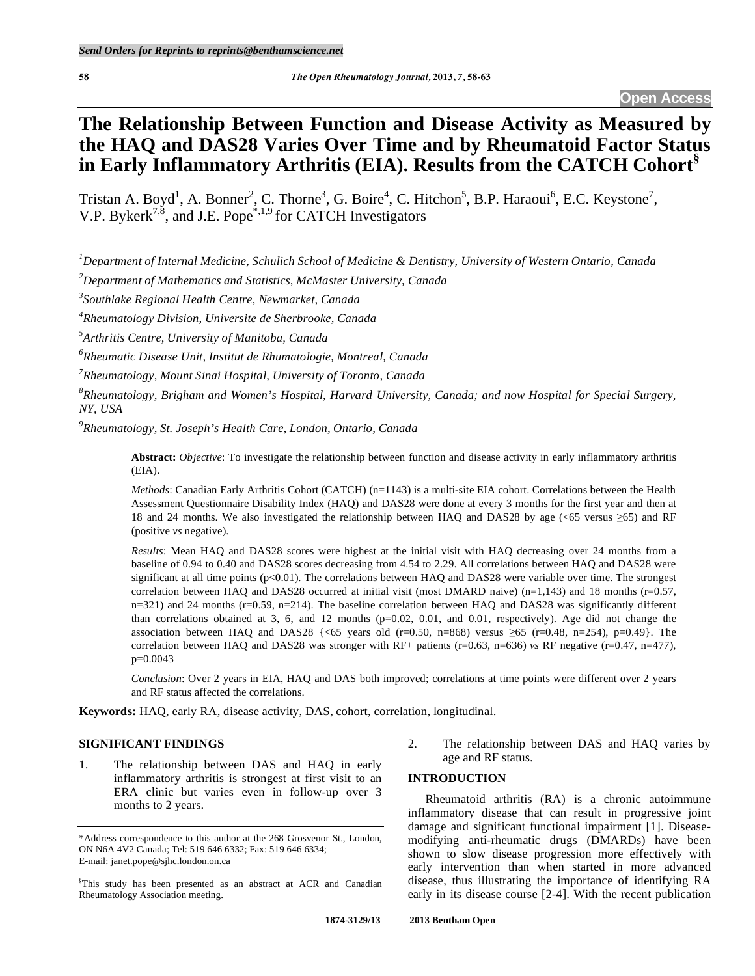# **The Relationship Between Function and Disease Activity as Measured by the HAQ and DAS28 Varies Over Time and by Rheumatoid Factor Status in Early Inflammatory Arthritis (EIA). Results from the CATCH Cohort§**

Tristan A. Boyd<sup>1</sup>, A. Bonner<sup>2</sup>, C. Thorne<sup>3</sup>, G. Boire<sup>4</sup>, C. Hitchon<sup>5</sup>, B.P. Haraoui<sup>6</sup>, E.C. Keystone<sup>7</sup>, V.P. Bykerk<sup>7,8</sup>, and J.E. Pope<sup>\*,1,9</sup> for CATCH Investigators

*1 Department of Internal Medicine, Schulich School of Medicine & Dentistry, University of Western Ontario, Canada* 

*2 Department of Mathematics and Statistics, McMaster University, Canada* 

*3 Southlake Regional Health Centre, Newmarket, Canada* 

*4 Rheumatology Division, Universite de Sherbrooke, Canada* 

*5 Arthritis Centre, University of Manitoba, Canada* 

*6 Rheumatic Disease Unit, Institut de Rhumatologie, Montreal, Canada* 

*7 Rheumatology, Mount Sinai Hospital, University of Toronto, Canada* 

*8 Rheumatology, Brigham and Women's Hospital, Harvard University, Canada; and now Hospital for Special Surgery, NY, USA* 

*9 Rheumatology, St. Joseph's Health Care, London, Ontario, Canada* 

**Abstract:** *Objective*: To investigate the relationship between function and disease activity in early inflammatory arthritis (EIA).

*Methods*: Canadian Early Arthritis Cohort (CATCH) (n=1143) is a multi-site EIA cohort. Correlations between the Health Assessment Questionnaire Disability Index (HAQ) and DAS28 were done at every 3 months for the first year and then at 18 and 24 months. We also investigated the relationship between HAO and DAS28 by age (<65 versus >65) and RF (positive *vs* negative).

*Results*: Mean HAQ and DAS28 scores were highest at the initial visit with HAQ decreasing over 24 months from a baseline of 0.94 to 0.40 and DAS28 scores decreasing from 4.54 to 2.29. All correlations between HAQ and DAS28 were significant at all time points (p<0.01). The correlations between HAQ and DAS28 were variable over time. The strongest correlation between HAQ and DAS28 occurred at initial visit (most DMARD naive) (n=1,143) and 18 months ( $r=0.57$ ,  $n=321$ ) and 24 months ( $r=0.59$ ,  $n=214$ ). The baseline correlation between HAQ and DAS28 was significantly different than correlations obtained at 3, 6, and 12 months ( $p=0.02, 0.01$ , and 0.01, respectively). Age did not change the association between HAQ and DAS28  $\{\leq 65$  years old (r=0.50, n=868) versus  $\geq 65$  (r=0.48, n=254), p=0.49}. The correlation between HAQ and DAS28 was stronger with RF+ patients (r=0.63, n=636) *vs* RF negative (r=0.47, n=477), p=0.0043

*Conclusion*: Over 2 years in EIA, HAQ and DAS both improved; correlations at time points were different over 2 years and RF status affected the correlations.

**Keywords:** HAQ, early RA, disease activity, DAS, cohort, correlation, longitudinal.

## **SIGNIFICANT FINDINGS**

1. The relationship between DAS and HAQ in early inflammatory arthritis is strongest at first visit to an ERA clinic but varies even in follow-up over 3 months to 2 years.

2. The relationship between DAS and HAQ varies by age and RF status.

# **INTRODUCTION**

 Rheumatoid arthritis (RA) is a chronic autoimmune inflammatory disease that can result in progressive joint damage and significant functional impairment [1]. Diseasemodifying anti-rheumatic drugs (DMARDs) have been shown to slow disease progression more effectively with early intervention than when started in more advanced disease, thus illustrating the importance of identifying RA early in its disease course [2-4]. With the recent publication

<sup>\*</sup>Address correspondence to this author at the 268 Grosvenor St., London, ON N6A 4V2 Canada; Tel: 519 646 6332; Fax: 519 646 6334; E-mail: janet.pope@sjhc.london.on.ca

<sup>§</sup> This study has been presented as an abstract at ACR and Canadian Rheumatology Association meeting.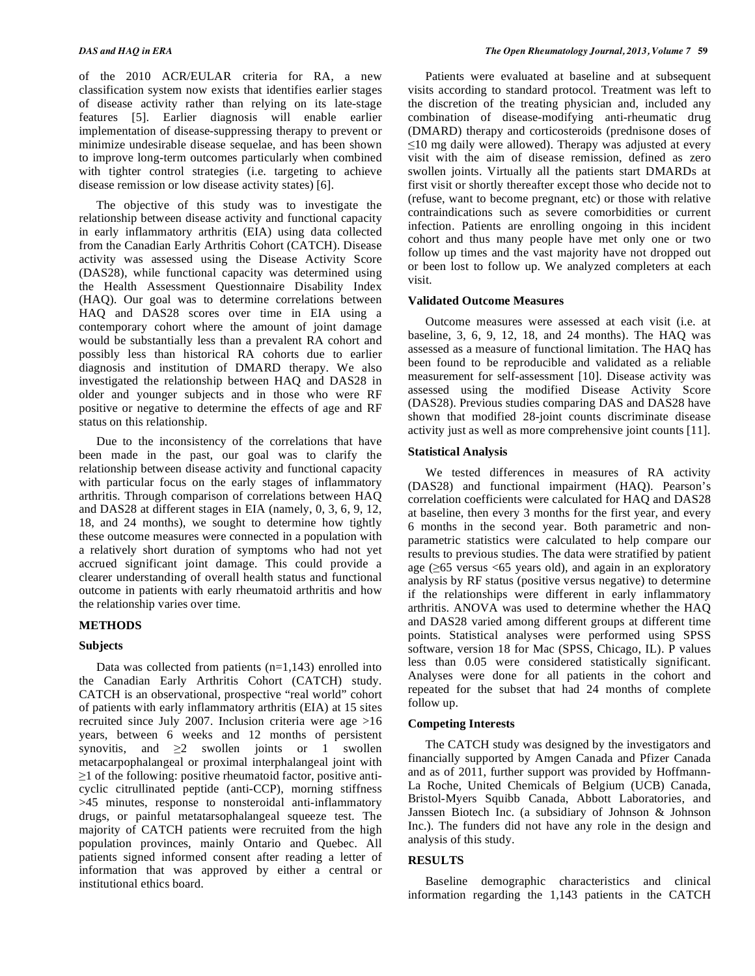of the 2010 ACR/EULAR criteria for RA, a new classification system now exists that identifies earlier stages of disease activity rather than relying on its late-stage features [5]. Earlier diagnosis will enable earlier implementation of disease-suppressing therapy to prevent or minimize undesirable disease sequelae, and has been shown to improve long-term outcomes particularly when combined with tighter control strategies (i.e. targeting to achieve disease remission or low disease activity states) [6].

 The objective of this study was to investigate the relationship between disease activity and functional capacity in early inflammatory arthritis (EIA) using data collected from the Canadian Early Arthritis Cohort (CATCH). Disease activity was assessed using the Disease Activity Score (DAS28), while functional capacity was determined using the Health Assessment Questionnaire Disability Index (HAQ). Our goal was to determine correlations between HAQ and DAS28 scores over time in EIA using a contemporary cohort where the amount of joint damage would be substantially less than a prevalent RA cohort and possibly less than historical RA cohorts due to earlier diagnosis and institution of DMARD therapy. We also investigated the relationship between HAQ and DAS28 in older and younger subjects and in those who were RF positive or negative to determine the effects of age and RF status on this relationship.

 Due to the inconsistency of the correlations that have been made in the past, our goal was to clarify the relationship between disease activity and functional capacity with particular focus on the early stages of inflammatory arthritis. Through comparison of correlations between HAQ and DAS28 at different stages in EIA (namely, 0, 3, 6, 9, 12, 18, and 24 months), we sought to determine how tightly these outcome measures were connected in a population with a relatively short duration of symptoms who had not yet accrued significant joint damage. This could provide a clearer understanding of overall health status and functional outcome in patients with early rheumatoid arthritis and how the relationship varies over time.

## **METHODS**

#### **Subjects**

Data was collected from patients  $(n=1,143)$  enrolled into the Canadian Early Arthritis Cohort (CATCH) study. CATCH is an observational, prospective "real world" cohort of patients with early inflammatory arthritis (EIA) at 15 sites recruited since July 2007. Inclusion criteria were age >16 years, between 6 weeks and 12 months of persistent synovitis, and  $\geq 2$  swollen joints or 1 swollen metacarpophalangeal or proximal interphalangeal joint with  $\geq$ 1 of the following: positive rheumatoid factor, positive anticyclic citrullinated peptide (anti-CCP), morning stiffness >45 minutes, response to nonsteroidal anti-inflammatory drugs, or painful metatarsophalangeal squeeze test. The majority of CATCH patients were recruited from the high population provinces, mainly Ontario and Quebec. All patients signed informed consent after reading a letter of information that was approved by either a central or institutional ethics board.

 Patients were evaluated at baseline and at subsequent visits according to standard protocol. Treatment was left to the discretion of the treating physician and, included any combination of disease-modifying anti-rheumatic drug (DMARD) therapy and corticosteroids (prednisone doses of  $\leq$ 10 mg daily were allowed). Therapy was adjusted at every visit with the aim of disease remission, defined as zero swollen joints. Virtually all the patients start DMARDs at first visit or shortly thereafter except those who decide not to (refuse, want to become pregnant, etc) or those with relative contraindications such as severe comorbidities or current infection. Patients are enrolling ongoing in this incident cohort and thus many people have met only one or two follow up times and the vast majority have not dropped out or been lost to follow up. We analyzed completers at each visit.

#### **Validated Outcome Measures**

 Outcome measures were assessed at each visit (i.e. at baseline, 3, 6, 9, 12, 18, and 24 months). The HAQ was assessed as a measure of functional limitation. The HAQ has been found to be reproducible and validated as a reliable measurement for self-assessment [10]. Disease activity was assessed using the modified Disease Activity Score (DAS28). Previous studies comparing DAS and DAS28 have shown that modified 28-joint counts discriminate disease activity just as well as more comprehensive joint counts [11].

#### **Statistical Analysis**

 We tested differences in measures of RA activity (DAS28) and functional impairment (HAQ). Pearson's correlation coefficients were calculated for HAQ and DAS28 at baseline, then every 3 months for the first year, and every 6 months in the second year. Both parametric and nonparametric statistics were calculated to help compare our results to previous studies. The data were stratified by patient age  $(\geq 65$  versus <65 years old), and again in an exploratory analysis by RF status (positive versus negative) to determine if the relationships were different in early inflammatory arthritis. ANOVA was used to determine whether the HAQ and DAS28 varied among different groups at different time points. Statistical analyses were performed using SPSS software, version 18 for Mac (SPSS, Chicago, IL). P values less than 0.05 were considered statistically significant. Analyses were done for all patients in the cohort and repeated for the subset that had 24 months of complete follow up.

#### **Competing Interests**

 The CATCH study was designed by the investigators and financially supported by Amgen Canada and Pfizer Canada and as of 2011, further support was provided by Hoffmann-La Roche, United Chemicals of Belgium (UCB) Canada, Bristol-Myers Squibb Canada, Abbott Laboratories, and Janssen Biotech Inc. (a subsidiary of Johnson & Johnson Inc.). The funders did not have any role in the design and analysis of this study.

## **RESULTS**

 Baseline demographic characteristics and clinical information regarding the 1,143 patients in the CATCH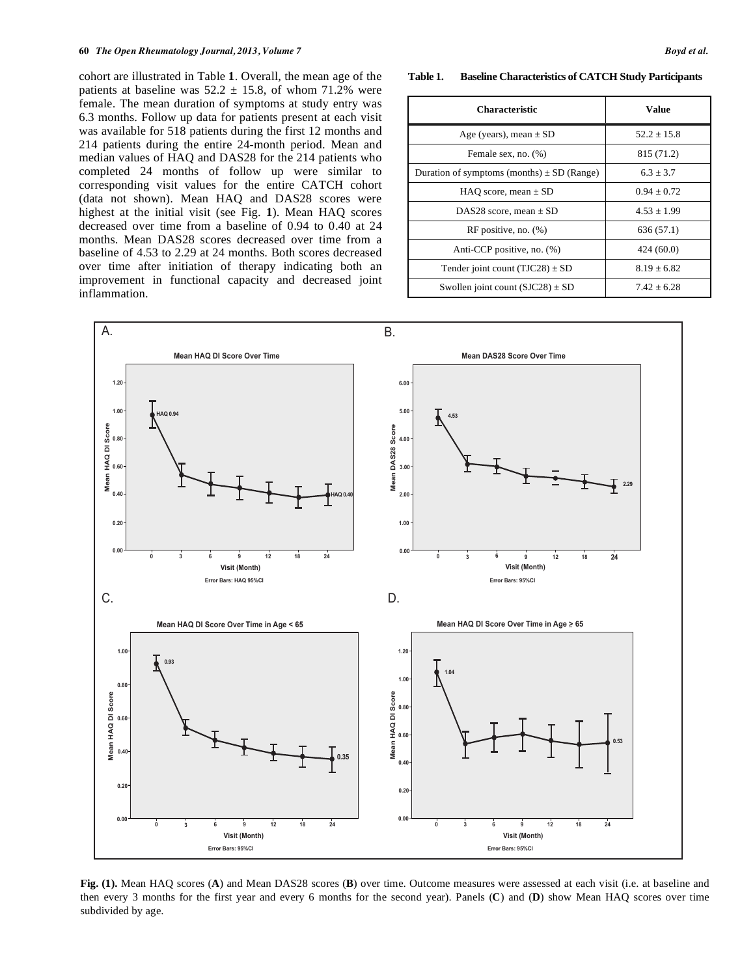cohort are illustrated in Table **1**. Overall, the mean age of the patients at baseline was  $52.2 \pm 15.8$ , of whom 71.2% were female. The mean duration of symptoms at study entry was 6.3 months. Follow up data for patients present at each visit was available for 518 patients during the first 12 months and 214 patients during the entire 24-month period. Mean and median values of HAQ and DAS28 for the 214 patients who completed 24 months of follow up were similar to corresponding visit values for the entire CATCH cohort (data not shown). Mean HAQ and DAS28 scores were highest at the initial visit (see Fig. **1**). Mean HAQ scores decreased over time from a baseline of 0.94 to 0.40 at 24 months. Mean DAS28 scores decreased over time from a baseline of 4.53 to 2.29 at 24 months. Both scores decreased over time after initiation of therapy indicating both an improvement in functional capacity and decreased joint inflammation.

**Table 1. Baseline Characteristics of CATCH Study Participants** 

| <b>Characteristic</b>                          | Value           |
|------------------------------------------------|-----------------|
| Age (years), mean $\pm$ SD                     | $52.2 + 15.8$   |
| Female sex, no. (%)                            | 815 (71.2)      |
| Duration of symptoms (months) $\pm$ SD (Range) | $6.3 + 3.7$     |
| HAO score, mean $\pm$ SD                       | $0.94 + 0.72$   |
| DAS28 score, mean $\pm$ SD                     | $4.53 \pm 1.99$ |
| RF positive, no. $(\%)$                        | 636 (57.1)      |
| Anti-CCP positive, no. (%)                     | 424(60.0)       |
| Tender joint count $(TJC28) \pm SD$            | $8.19 + 6.82$   |
| Swollen joint count $(SJC28) \pm SD$           | $7.42 + 6.28$   |



**Fig. (1).** Mean HAQ scores (**A**) and Mean DAS28 scores (**B**) over time. Outcome measures were assessed at each visit (i.e. at baseline and then every 3 months for the first year and every 6 months for the second year). Panels (**C**) and (**D**) show Mean HAQ scores over time subdivided by age.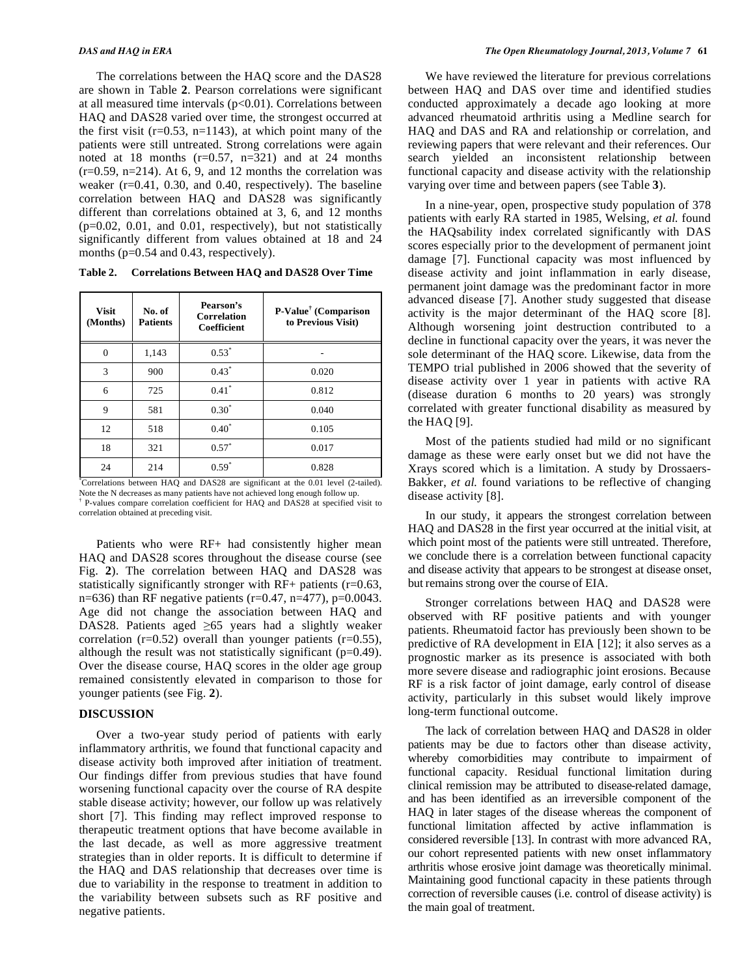The correlations between the HAQ score and the DAS28 are shown in Table **2**. Pearson correlations were significant at all measured time intervals  $(p<0.01)$ . Correlations between HAQ and DAS28 varied over time, the strongest occurred at the first visit  $(r=0.53, n=1143)$ , at which point many of the patients were still untreated. Strong correlations were again noted at 18 months  $(r=0.57, n=321)$  and at 24 months  $(r=0.59, n=214)$ . At 6, 9, and 12 months the correlation was weaker (r=0.41, 0.30, and 0.40, respectively). The baseline correlation between HAQ and DAS28 was significantly different than correlations obtained at 3, 6, and 12 months (p=0.02, 0.01, and 0.01, respectively), but not statistically significantly different from values obtained at 18 and 24 months (p=0.54 and 0.43, respectively).

| Table 2. | Correlations Between HAQ and DAS28 Over Time |  |  |  |
|----------|----------------------------------------------|--|--|--|
|----------|----------------------------------------------|--|--|--|

| <b>Visit</b><br>(Months) | No. of<br><b>Patients</b> | Pearson's<br><b>Correlation</b><br>Coefficient | P-Value <sup>†</sup> (Comparison<br>to Previous Visit) |
|--------------------------|---------------------------|------------------------------------------------|--------------------------------------------------------|
| 0                        | 1,143                     | $0.53*$                                        |                                                        |
| 3                        | 900                       | $0.43*$                                        | 0.020                                                  |
| 6                        | 725                       | $0.41*$                                        | 0.812                                                  |
| 9                        | 581                       | $0.30^{*}$                                     | 0.040                                                  |
| 12                       | 518                       | $0.40^*$                                       | 0.105                                                  |
| 18                       | 321                       | $0.57*$                                        | 0.017                                                  |
| 24                       | 214                       | $0.59*$                                        | 0.828                                                  |

\* Correlations between HAQ and DAS28 are significant at the 0.01 level (2-tailed). Note the N decreases as many patients have not achieved long enough follow up.<br> $\uparrow$  B velves compare correlation coefficient for HAO and DAS28 at specified v P-values compare correlation coefficient for HAQ and DAS28 at specified visit to correlation obtained at preceding visit.

 Patients who were RF+ had consistently higher mean HAQ and DAS28 scores throughout the disease course (see Fig. **2**). The correlation between HAQ and DAS28 was statistically significantly stronger with RF+ patients (r=0.63, n=636) than RF negative patients ( $r=0.47$ ,  $n=477$ ),  $p=0.0043$ . Age did not change the association between HAQ and DAS28. Patients aged  $\geq 65$  years had a slightly weaker correlation ( $r=0.52$ ) overall than younger patients ( $r=0.55$ ), although the result was not statistically significant  $(p=0.49)$ . Over the disease course, HAQ scores in the older age group remained consistently elevated in comparison to those for younger patients (see Fig. **2**).

# **DISCUSSION**

 Over a two-year study period of patients with early inflammatory arthritis, we found that functional capacity and disease activity both improved after initiation of treatment. Our findings differ from previous studies that have found worsening functional capacity over the course of RA despite stable disease activity; however, our follow up was relatively short [7]. This finding may reflect improved response to therapeutic treatment options that have become available in the last decade, as well as more aggressive treatment strategies than in older reports. It is difficult to determine if the HAQ and DAS relationship that decreases over time is due to variability in the response to treatment in addition to the variability between subsets such as RF positive and negative patients.

 We have reviewed the literature for previous correlations between HAQ and DAS over time and identified studies conducted approximately a decade ago looking at more advanced rheumatoid arthritis using a Medline search for HAQ and DAS and RA and relationship or correlation, and reviewing papers that were relevant and their references. Our search yielded an inconsistent relationship between functional capacity and disease activity with the relationship varying over time and between papers (see Table **3**).

 In a nine-year, open, prospective study population of 378 patients with early RA started in 1985, Welsing, *et al.* found the HAQsability index correlated significantly with DAS scores especially prior to the development of permanent joint damage [7]. Functional capacity was most influenced by disease activity and joint inflammation in early disease, permanent joint damage was the predominant factor in more advanced disease [7]. Another study suggested that disease activity is the major determinant of the HAQ score [8]. Although worsening joint destruction contributed to a decline in functional capacity over the years, it was never the sole determinant of the HAQ score. Likewise, data from the TEMPO trial published in 2006 showed that the severity of disease activity over 1 year in patients with active RA (disease duration 6 months to 20 years) was strongly correlated with greater functional disability as measured by the HAQ [9].

 Most of the patients studied had mild or no significant damage as these were early onset but we did not have the Xrays scored which is a limitation. A study by Drossaers-Bakker, *et al.* found variations to be reflective of changing disease activity [8].

 In our study, it appears the strongest correlation between HAQ and DAS28 in the first year occurred at the initial visit, at which point most of the patients were still untreated. Therefore, we conclude there is a correlation between functional capacity and disease activity that appears to be strongest at disease onset, but remains strong over the course of EIA.

 Stronger correlations between HAQ and DAS28 were observed with RF positive patients and with younger patients. Rheumatoid factor has previously been shown to be predictive of RA development in EIA [12]; it also serves as a prognostic marker as its presence is associated with both more severe disease and radiographic joint erosions. Because RF is a risk factor of joint damage, early control of disease activity, particularly in this subset would likely improve long-term functional outcome.

 The lack of correlation between HAQ and DAS28 in older patients may be due to factors other than disease activity, whereby comorbidities may contribute to impairment of functional capacity. Residual functional limitation during clinical remission may be attributed to disease-related damage, and has been identified as an irreversible component of the HAQ in later stages of the disease whereas the component of functional limitation affected by active inflammation is considered reversible [13]. In contrast with more advanced RA, our cohort represented patients with new onset inflammatory arthritis whose erosive joint damage was theoretically minimal. Maintaining good functional capacity in these patients through correction of reversible causes (i.e. control of disease activity) is the main goal of treatment.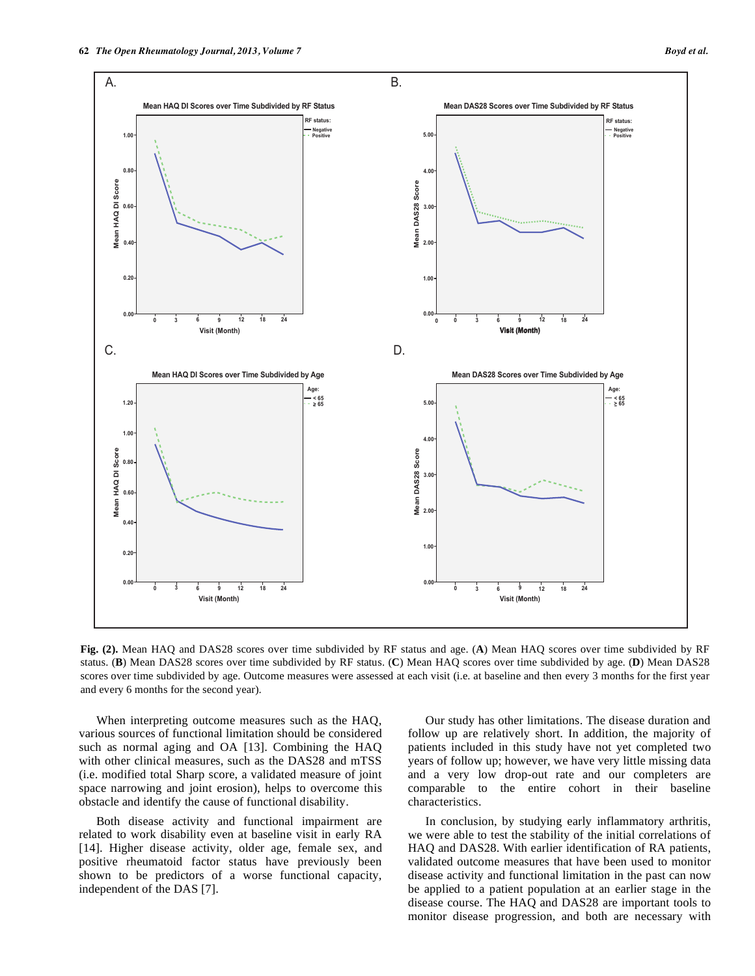

**Fig. (2).** Mean HAQ and DAS28 scores over time subdivided by RF status and age. (**A**) Mean HAQ scores over time subdivided by RF status. (**B**) Mean DAS28 scores over time subdivided by RF status. (**C**) Mean HAQ scores over time subdivided by age. (**D**) Mean DAS28 scores over time subdivided by age. Outcome measures were assessed at each visit (i.e. at baseline and then every 3 months for the first year and every 6 months for the second year).

 When interpreting outcome measures such as the HAQ, various sources of functional limitation should be considered such as normal aging and OA [13]. Combining the HAQ with other clinical measures, such as the DAS28 and mTSS (i.e. modified total Sharp score, a validated measure of joint space narrowing and joint erosion), helps to overcome this obstacle and identify the cause of functional disability.

 Both disease activity and functional impairment are related to work disability even at baseline visit in early RA [14]. Higher disease activity, older age, female sex, and positive rheumatoid factor status have previously been shown to be predictors of a worse functional capacity, independent of the DAS [7].

 Our study has other limitations. The disease duration and follow up are relatively short. In addition, the majority of patients included in this study have not yet completed two years of follow up; however, we have very little missing data and a very low drop-out rate and our completers are comparable to the entire cohort in their baseline characteristics.

 In conclusion, by studying early inflammatory arthritis, we were able to test the stability of the initial correlations of HAQ and DAS28. With earlier identification of RA patients, validated outcome measures that have been used to monitor disease activity and functional limitation in the past can now be applied to a patient population at an earlier stage in the disease course. The HAQ and DAS28 are important tools to monitor disease progression, and both are necessary with